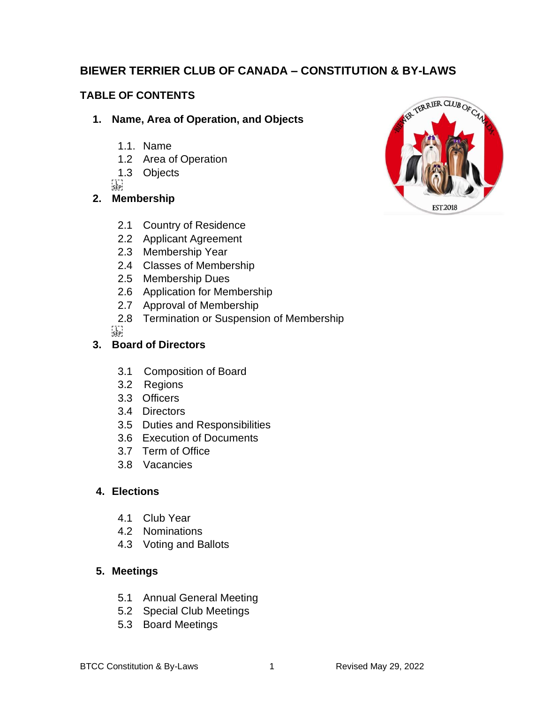# **BIEWER TERRIER CLUB OF CANADA – CONSTITUTION & BY-LAWS**

# **TABLE OF CONTENTS**

### **1. Name, Area of Operation, and Objects**

- 1.1. Name
- 1.2 Area of Operation
- 1.3 Objects

 $\sum_{i\in P}$ 

## **2. Membership**

- 2.1 Country of Residence
- 2.2 Applicant Agreement
- 2.3 Membership Year
- 2.4 Classes of Membership
- 2.5 Membership Dues
- 2.6 Application for Membership
- 2.7 Approval of Membership
- 2.8 Termination or Suspension of Membership

 $\sum_{i \in \mathsf{FP}}$ 

## **3. Board of Directors**

- 3.1 Composition of Board
- 3.2 Regions
- 3.3 Officers
- 3.4 Directors
- 3.5 Duties and Responsibilities
- 3.6 Execution of Documents
- 3.7 Term of Office
- 3.8 Vacancies

## **4. Elections**

- 4.1 Club Year
- 4.2 Nominations
- 4.3 Voting and Ballots

## **5. Meetings**

- 5.1 Annual General Meeting
- 5.2 Special Club Meetings
- 5.3 Board Meetings

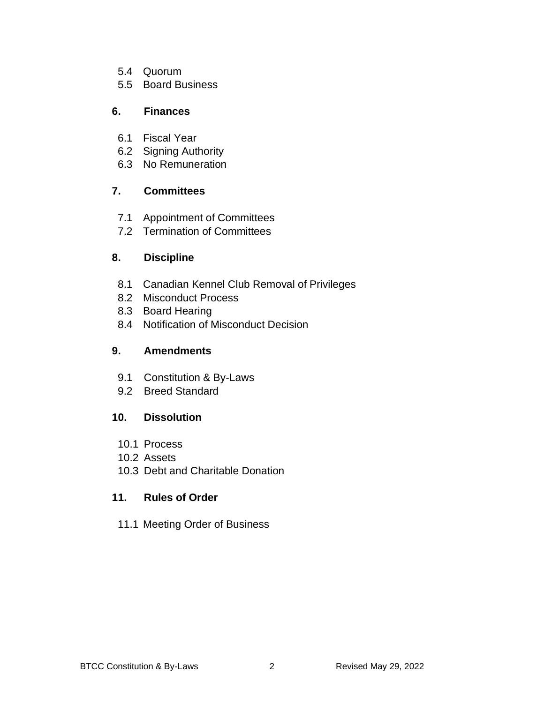- 5.4 Quorum
- 5.5 Board Business

## **6. Finances**

- 6.1 Fiscal Year
- 6.2 Signing Authority
- 6.3 No Remuneration

# **7. Committees**

- 7.1 Appointment of Committees
- 7.2 Termination of Committees

# **8. Discipline**

- 8.1 Canadian Kennel Club Removal of Privileges
- 8.2 Misconduct Process
- 8.3 Board Hearing
- 8.4 Notification of Misconduct Decision

# **9. Amendments**

- 9.1 Constitution & By-Laws
- 9.2 Breed Standard

# **10. Dissolution**

- 10.1 Process
- 10.2 Assets
- 10.3 Debt and Charitable Donation

# **11. Rules of Order**

11.1 Meeting Order of Business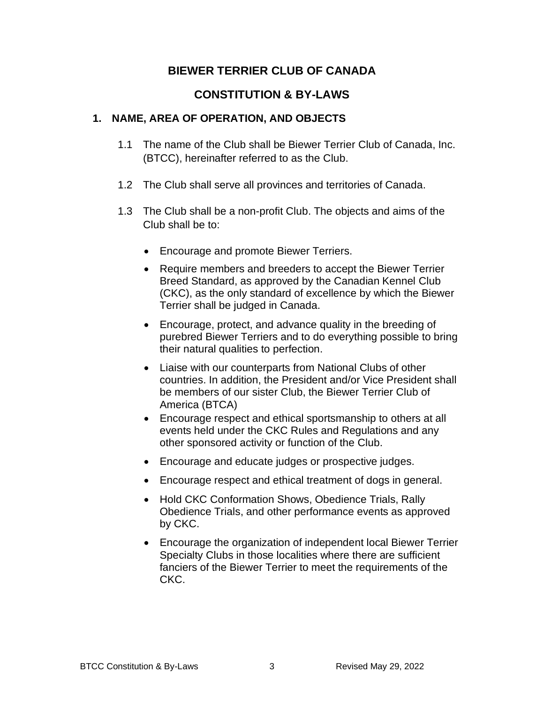## **BIEWER TERRIER CLUB OF CANADA**

# **CONSTITUTION & BY-LAWS**

#### **1. NAME, AREA OF OPERATION, AND OBJECTS**

- 1.1 The name of the Club shall be Biewer Terrier Club of Canada, Inc. (BTCC), hereinafter referred to as the Club.
- 1.2 The Club shall serve all provinces and territories of Canada.
- 1.3 The Club shall be a non-profit Club. The objects and aims of the Club shall be to:
	- Encourage and promote Biewer Terriers.
	- Require members and breeders to accept the Biewer Terrier Breed Standard, as approved by the Canadian Kennel Club (CKC), as the only standard of excellence by which the Biewer Terrier shall be judged in Canada.
	- Encourage, protect, and advance quality in the breeding of purebred Biewer Terriers and to do everything possible to bring their natural qualities to perfection.
	- Liaise with our counterparts from National Clubs of other countries. In addition, the President and/or Vice President shall be members of our sister Club, the Biewer Terrier Club of America (BTCA)
	- Encourage respect and ethical sportsmanship to others at all events held under the CKC Rules and Regulations and any other sponsored activity or function of the Club.
	- Encourage and educate judges or prospective judges.
	- Encourage respect and ethical treatment of dogs in general.
	- Hold CKC Conformation Shows, Obedience Trials, Rally Obedience Trials, and other performance events as approved by CKC.
	- Encourage the organization of independent local Biewer Terrier Specialty Clubs in those localities where there are sufficient fanciers of the Biewer Terrier to meet the requirements of the CKC.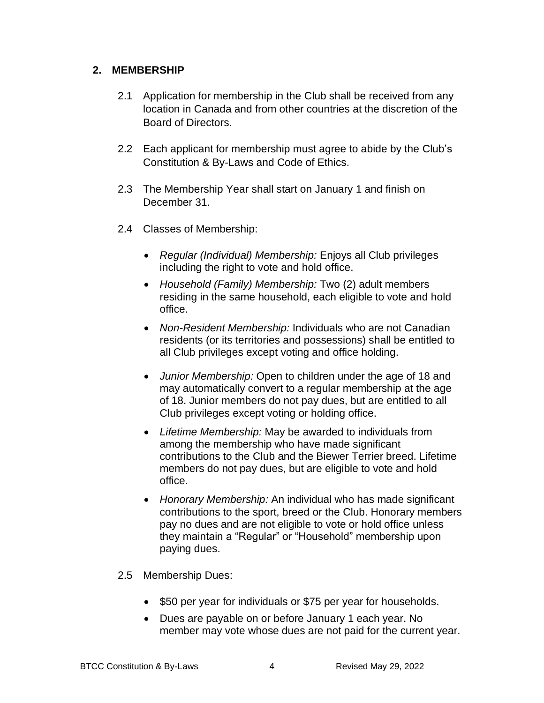#### **2. MEMBERSHIP**

- 2.1 Application for membership in the Club shall be received from any location in Canada and from other countries at the discretion of the Board of Directors.
- 2.2 Each applicant for membership must agree to abide by the Club's Constitution & By-Laws and Code of Ethics.
- 2.3 The Membership Year shall start on January 1 and finish on December 31.
- 2.4 Classes of Membership:
	- *Regular (Individual) Membership:* Enjoys all Club privileges including the right to vote and hold office.
	- *Household (Family) Membership:* Two (2) adult members residing in the same household, each eligible to vote and hold office.
	- *Non-Resident Membership:* Individuals who are not Canadian residents (or its territories and possessions) shall be entitled to all Club privileges except voting and office holding.
	- *Junior Membership:* Open to children under the age of 18 and may automatically convert to a regular membership at the age of 18. Junior members do not pay dues, but are entitled to all Club privileges except voting or holding office.
	- *Lifetime Membership:* May be awarded to individuals from among the membership who have made significant contributions to the Club and the Biewer Terrier breed. Lifetime members do not pay dues, but are eligible to vote and hold office.
	- *Honorary Membership:* An individual who has made significant contributions to the sport, breed or the Club. Honorary members pay no dues and are not eligible to vote or hold office unless they maintain a "Regular" or "Household" membership upon paying dues.
- 2.5 Membership Dues:
	- \$50 per year for individuals or \$75 per year for households.
	- Dues are payable on or before January 1 each year. No member may vote whose dues are not paid for the current year.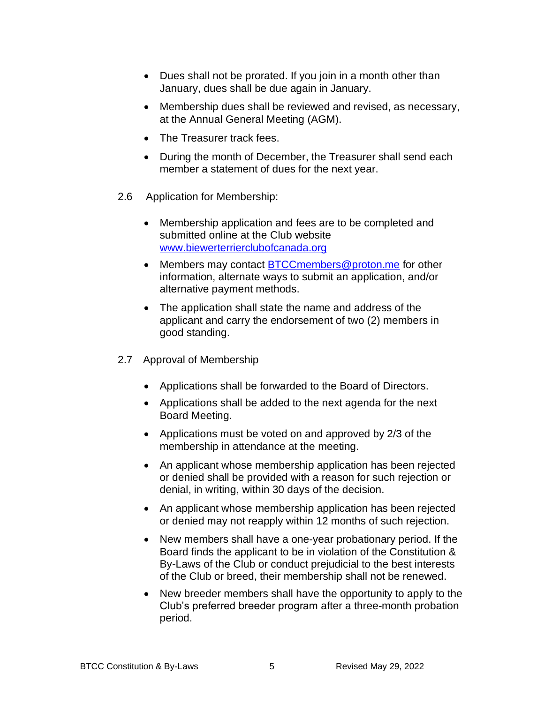- Dues shall not be prorated. If you join in a month other than January, dues shall be due again in January.
- Membership dues shall be reviewed and revised, as necessary, at the Annual General Meeting (AGM).
- The Treasurer track fees.
- During the month of December, the Treasurer shall send each member a statement of dues for the next year.
- 2.6 Application for Membership:
	- Membership application and fees are to be completed and submitted online at the Club website [www.biewerterrierclubofcanada.org](http://www.biewerterrierclubofcanada.org/)
	- Members may contact [BTCCmembers@proton.me](mailto:BTCCmembers@proton.me) for other information, alternate ways to submit an application, and/or alternative payment methods.
	- The application shall state the name and address of the applicant and carry the endorsement of two (2) members in good standing.
- 2.7 Approval of Membership
	- Applications shall be forwarded to the Board of Directors.
	- Applications shall be added to the next agenda for the next Board Meeting.
	- Applications must be voted on and approved by 2/3 of the membership in attendance at the meeting.
	- An applicant whose membership application has been rejected or denied shall be provided with a reason for such rejection or denial, in writing, within 30 days of the decision.
	- An applicant whose membership application has been rejected or denied may not reapply within 12 months of such rejection.
	- New members shall have a one-year probationary period. If the Board finds the applicant to be in violation of the Constitution & By-Laws of the Club or conduct prejudicial to the best interests of the Club or breed, their membership shall not be renewed.
	- New breeder members shall have the opportunity to apply to the Club's preferred breeder program after a three-month probation period.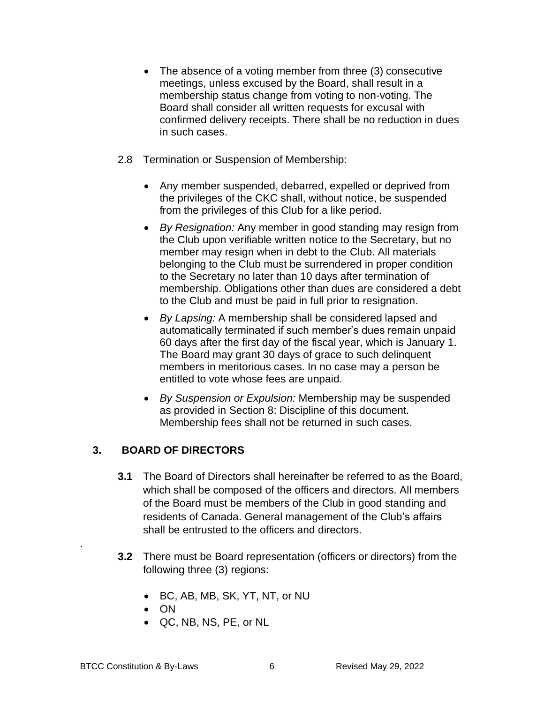- The absence of a voting member from three (3) consecutive meetings, unless excused by the Board, shall result in a membership status change from voting to non-voting. The Board shall consider all written requests for excusal with confirmed delivery receipts. There shall be no reduction in dues in such cases.
- 2.8 Termination or Suspension of Membership:
	- Any member suspended, debarred, expelled or deprived from the privileges of the CKC shall, without notice, be suspended from the privileges of this Club for a like period.
	- *By Resignation:* Any member in good standing may resign from the Club upon verifiable written notice to the Secretary, but no member may resign when in debt to the Club. All materials belonging to the Club must be surrendered in proper condition to the Secretary no later than 10 days after termination of membership. Obligations other than dues are considered a debt to the Club and must be paid in full prior to resignation.
	- *By Lapsing:* A membership shall be considered lapsed and automatically terminated if such member's dues remain unpaid 60 days after the first day of the fiscal year, which is January 1. The Board may grant 30 days of grace to such delinquent members in meritorious cases. In no case may a person be entitled to vote whose fees are unpaid.
	- *By Suspension or Expulsion:* Membership may be suspended as provided in Section 8: Discipline of this document. Membership fees shall not be returned in such cases.

### **3. BOARD OF DIRECTORS**

- **3.1** The Board of Directors shall hereinafter be referred to as the Board, which shall be composed of the officers and directors. All members of the Board must be members of the Club in good standing and residents of Canada. General management of the Club's affairs shall be entrusted to the officers and directors.
- **3.2** There must be Board representation (officers or directors) from the following three (3) regions:
	- BC, AB, MB, SK, YT, NT, or NU
	- ON
	- QC, NB, NS, PE, or NL

.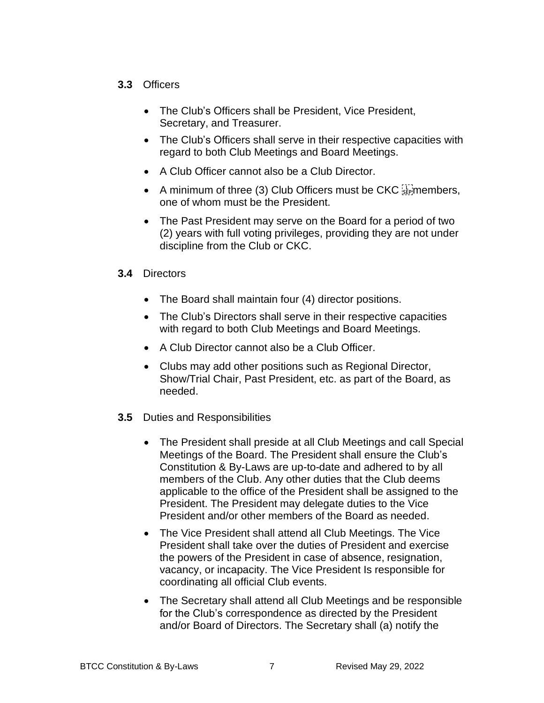### **3.3** Officers

- The Club's Officers shall be President, Vice President, Secretary, and Treasurer.
- The Club's Officers shall serve in their respective capacities with regard to both Club Meetings and Board Meetings.
- A Club Officer cannot also be a Club Director.
- A minimum of three (3) Club Officers must be CKC  $\frac{1}{2}$  members, one of whom must be the President.
- The Past President may serve on the Board for a period of two (2) years with full voting privileges, providing they are not under discipline from the Club or CKC.

### **3.4** Directors

- The Board shall maintain four (4) director positions.
- The Club's Directors shall serve in their respective capacities with regard to both Club Meetings and Board Meetings.
- A Club Director cannot also be a Club Officer.
- Clubs may add other positions such as Regional Director, Show/Trial Chair, Past President, etc. as part of the Board, as needed.
- **3.5** Duties and Responsibilities
	- The President shall preside at all Club Meetings and call Special Meetings of the Board. The President shall ensure the Club's Constitution & By-Laws are up-to-date and adhered to by all members of the Club. Any other duties that the Club deems applicable to the office of the President shall be assigned to the President. The President may delegate duties to the Vice President and/or other members of the Board as needed.
	- The Vice President shall attend all Club Meetings. The Vice President shall take over the duties of President and exercise the powers of the President in case of absence, resignation, vacancy, or incapacity. The Vice President Is responsible for coordinating all official Club events.
	- The Secretary shall attend all Club Meetings and be responsible for the Club's correspondence as directed by the President and/or Board of Directors. The Secretary shall (a) notify the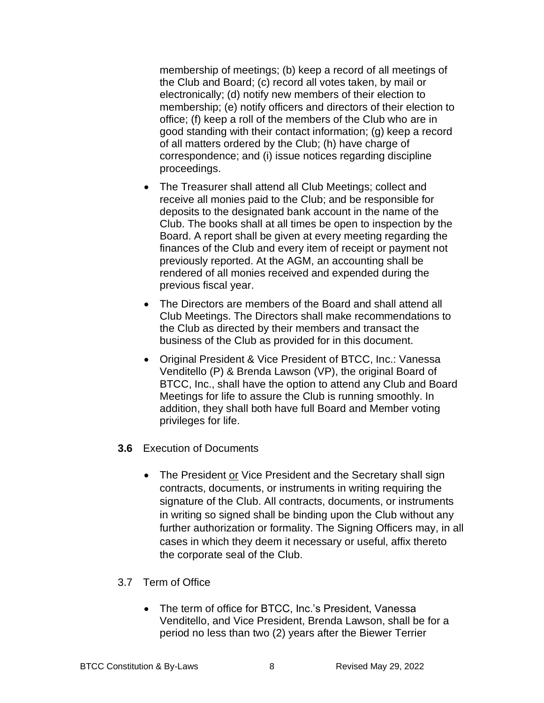membership of meetings; (b) keep a record of all meetings of the Club and Board; (c) record all votes taken, by mail or electronically; (d) notify new members of their election to membership; (e) notify officers and directors of their election to office; (f) keep a roll of the members of the Club who are in good standing with their contact information; (g) keep a record of all matters ordered by the Club; (h) have charge of correspondence; and (i) issue notices regarding discipline proceedings.

- The Treasurer shall attend all Club Meetings; collect and receive all monies paid to the Club; and be responsible for deposits to the designated bank account in the name of the Club. The books shall at all times be open to inspection by the Board. A report shall be given at every meeting regarding the finances of the Club and every item of receipt or payment not previously reported. At the AGM, an accounting shall be rendered of all monies received and expended during the previous fiscal year.
- The Directors are members of the Board and shall attend all Club Meetings. The Directors shall make recommendations to the Club as directed by their members and transact the business of the Club as provided for in this document.
- Original President & Vice President of BTCC, Inc.: Vanessa Venditello (P) & Brenda Lawson (VP), the original Board of BTCC, Inc., shall have the option to attend any Club and Board Meetings for life to assure the Club is running smoothly. In addition, they shall both have full Board and Member voting privileges for life.
- **3.6** Execution of Documents
	- The President or Vice President and the Secretary shall sign contracts, documents, or instruments in writing requiring the signature of the Club. All contracts, documents, or instruments in writing so signed shall be binding upon the Club without any further authorization or formality. The Signing Officers may, in all cases in which they deem it necessary or useful, affix thereto the corporate seal of the Club.
- 3.7 Term of Office
	- The term of office for BTCC, Inc.'s President, Vanessa Venditello, and Vice President, Brenda Lawson, shall be for a period no less than two (2) years after the Biewer Terrier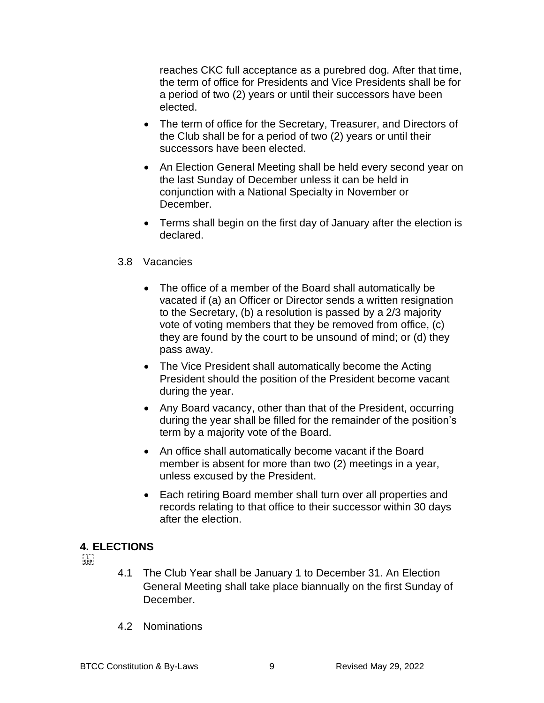reaches CKC full acceptance as a purebred dog. After that time, the term of office for Presidents and Vice Presidents shall be for a period of two (2) years or until their successors have been elected.

- The term of office for the Secretary, Treasurer, and Directors of the Club shall be for a period of two (2) years or until their successors have been elected.
- An Election General Meeting shall be held every second year on the last Sunday of December unless it can be held in conjunction with a National Specialty in November or December.
- Terms shall begin on the first day of January after the election is declared.

#### 3.8 Vacancies

- The office of a member of the Board shall automatically be vacated if (a) an Officer or Director sends a written resignation to the Secretary, (b) a resolution is passed by a 2/3 majority vote of voting members that they be removed from office, (c) they are found by the court to be unsound of mind; or (d) they pass away.
- The Vice President shall automatically become the Acting President should the position of the President become vacant during the year.
- Any Board vacancy, other than that of the President, occurring during the year shall be filled for the remainder of the position's term by a majority vote of the Board.
- An office shall automatically become vacant if the Board member is absent for more than two (2) meetings in a year, unless excused by the President.
- Each retiring Board member shall turn over all properties and records relating to that office to their successor within 30 days after the election.

#### **4. ELECTIONS**

 $SEP$ 

- 4.1 The Club Year shall be January 1 to December 31. An Election General Meeting shall take place biannually on the first Sunday of December.
- 4.2 Nominations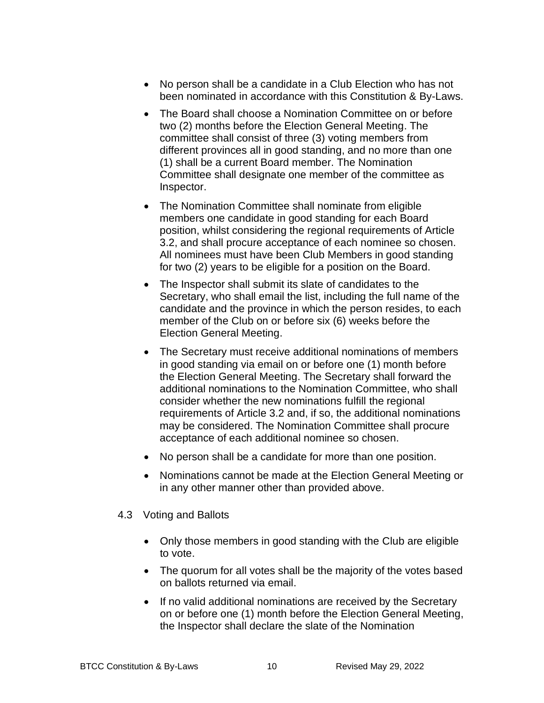- No person shall be a candidate in a Club Election who has not been nominated in accordance with this Constitution & By-Laws.
- The Board shall choose a Nomination Committee on or before two (2) months before the Election General Meeting. The committee shall consist of three (3) voting members from different provinces all in good standing, and no more than one (1) shall be a current Board member. The Nomination Committee shall designate one member of the committee as Inspector.
- The Nomination Committee shall nominate from eligible members one candidate in good standing for each Board position, whilst considering the regional requirements of Article 3.2, and shall procure acceptance of each nominee so chosen. All nominees must have been Club Members in good standing for two (2) years to be eligible for a position on the Board.
- The Inspector shall submit its slate of candidates to the Secretary, who shall email the list, including the full name of the candidate and the province in which the person resides, to each member of the Club on or before six (6) weeks before the Election General Meeting.
- The Secretary must receive additional nominations of members in good standing via email on or before one (1) month before the Election General Meeting. The Secretary shall forward the additional nominations to the Nomination Committee, who shall consider whether the new nominations fulfill the regional requirements of Article 3.2 and, if so, the additional nominations may be considered. The Nomination Committee shall procure acceptance of each additional nominee so chosen.
- No person shall be a candidate for more than one position.
- Nominations cannot be made at the Election General Meeting or in any other manner other than provided above.

#### 4.3 Voting and Ballots

- Only those members in good standing with the Club are eligible to vote.
- The quorum for all votes shall be the majority of the votes based on ballots returned via email.
- If no valid additional nominations are received by the Secretary on or before one (1) month before the Election General Meeting, the Inspector shall declare the slate of the Nomination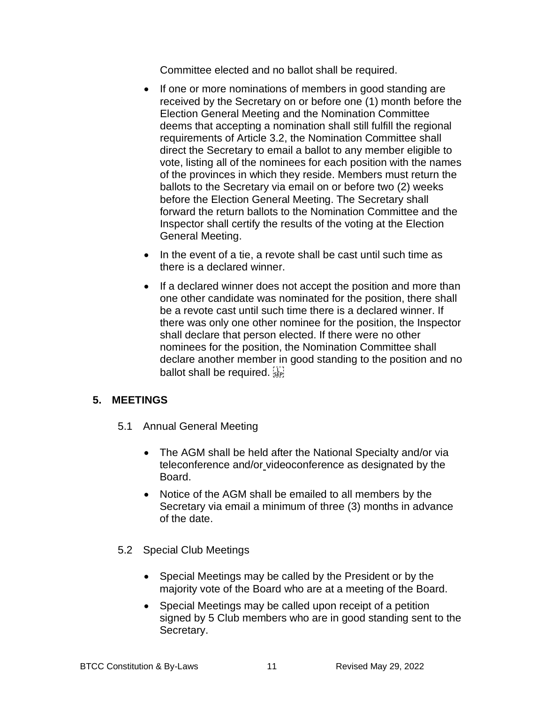Committee elected and no ballot shall be required.

- If one or more nominations of members in good standing are received by the Secretary on or before one (1) month before the Election General Meeting and the Nomination Committee deems that accepting a nomination shall still fulfill the regional requirements of Article 3.2, the Nomination Committee shall direct the Secretary to email a ballot to any member eligible to vote, listing all of the nominees for each position with the names of the provinces in which they reside. Members must return the ballots to the Secretary via email on or before two (2) weeks before the Election General Meeting. The Secretary shall forward the return ballots to the Nomination Committee and the Inspector shall certify the results of the voting at the Election General Meeting.
- In the event of a tie, a revote shall be cast until such time as there is a declared winner.
- If a declared winner does not accept the position and more than one other candidate was nominated for the position, there shall be a revote cast until such time there is a declared winner. If there was only one other nominee for the position, the Inspector shall declare that person elected. If there were no other nominees for the position, the Nomination Committee shall declare another member in good standing to the position and no ballot shall be required.

#### **5. MEETINGS**

- 5.1 Annual General Meeting
	- The AGM shall be held after the National Specialty and/or via teleconference and/or videoconference as designated by the Board.
	- Notice of the AGM shall be emailed to all members by the Secretary via email a minimum of three (3) months in advance of the date.
- 5.2 Special Club Meetings
	- Special Meetings may be called by the President or by the majority vote of the Board who are at a meeting of the Board.
	- Special Meetings may be called upon receipt of a petition signed by 5 Club members who are in good standing sent to the Secretary.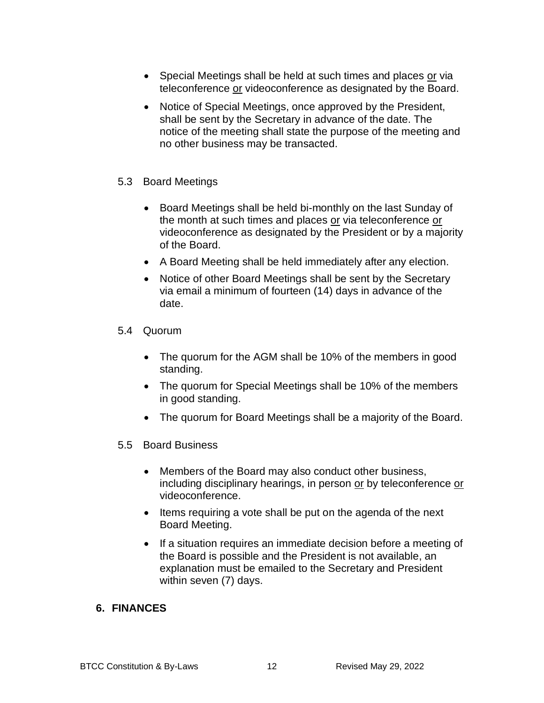- Special Meetings shall be held at such times and places or via teleconference or videoconference as designated by the Board.
- Notice of Special Meetings, once approved by the President, shall be sent by the Secretary in advance of the date. The notice of the meeting shall state the purpose of the meeting and no other business may be transacted.
- 5.3 Board Meetings
	- Board Meetings shall be held bi-monthly on the last Sunday of the month at such times and places or via teleconference or videoconference as designated by the President or by a majority of the Board.
	- A Board Meeting shall be held immediately after any election.
	- Notice of other Board Meetings shall be sent by the Secretary via email a minimum of fourteen (14) days in advance of the date.

### 5.4 Quorum

- The quorum for the AGM shall be 10% of the members in good standing.
- The quorum for Special Meetings shall be 10% of the members in good standing.
- The quorum for Board Meetings shall be a majority of the Board.
- 5.5 Board Business
	- Members of the Board may also conduct other business, including disciplinary hearings, in person or by teleconference or videoconference.
	- Items requiring a vote shall be put on the agenda of the next Board Meeting.
	- If a situation requires an immediate decision before a meeting of the Board is possible and the President is not available, an explanation must be emailed to the Secretary and President within seven (7) days.

#### **6. FINANCES**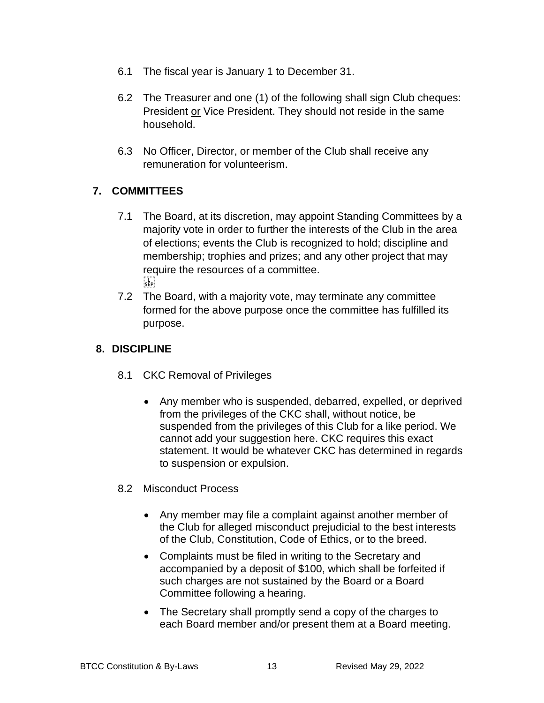- 6.1 The fiscal year is January 1 to December 31.
- 6.2 The Treasurer and one (1) of the following shall sign Club cheques: President or Vice President. They should not reside in the same household.
- 6.3 No Officer, Director, or member of the Club shall receive any remuneration for volunteerism.

### **7. COMMITTEES**

- 7.1 The Board, at its discretion, may appoint Standing Committees by a majority vote in order to further the interests of the Club in the area of elections; events the Club is recognized to hold; discipline and membership; trophies and prizes; and any other project that may require the resources of a committee.  $\sum_{i\in \mathsf{FP}}$
- 7.2 The Board, with a majority vote, may terminate any committee formed for the above purpose once the committee has fulfilled its purpose.

### **8. DISCIPLINE**

- 8.1 CKC Removal of Privileges
	- Any member who is suspended, debarred, expelled, or deprived from the privileges of the CKC shall, without notice, be suspended from the privileges of this Club for a like period. We cannot add your suggestion here. CKC requires this exact statement. It would be whatever CKC has determined in regards to suspension or expulsion.
- 8.2 Misconduct Process
	- Any member may file a complaint against another member of the Club for alleged misconduct prejudicial to the best interests of the Club, Constitution, Code of Ethics, or to the breed.
	- Complaints must be filed in writing to the Secretary and accompanied by a deposit of \$100, which shall be forfeited if such charges are not sustained by the Board or a Board Committee following a hearing.
	- The Secretary shall promptly send a copy of the charges to each Board member and/or present them at a Board meeting.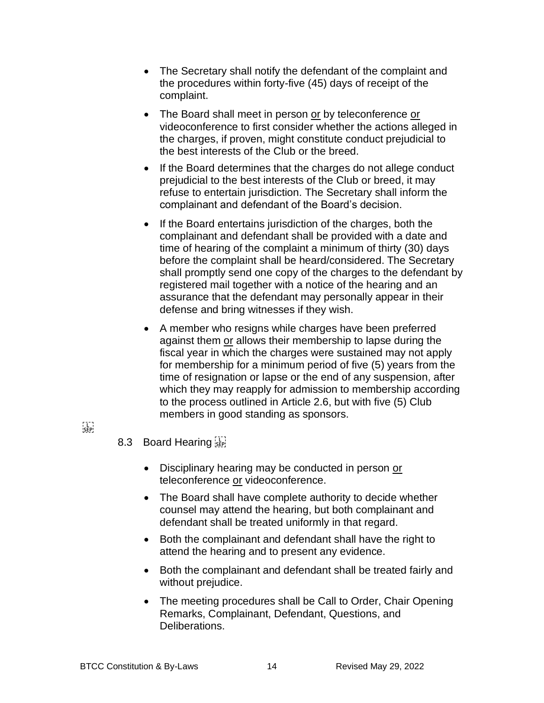- The Secretary shall notify the defendant of the complaint and the procedures within forty-five (45) days of receipt of the complaint.
- The Board shall meet in person or by teleconference or videoconference to first consider whether the actions alleged in the charges, if proven, might constitute conduct prejudicial to the best interests of the Club or the breed.
- If the Board determines that the charges do not allege conduct prejudicial to the best interests of the Club or breed, it may refuse to entertain jurisdiction. The Secretary shall inform the complainant and defendant of the Board's decision.
- If the Board entertains jurisdiction of the charges, both the complainant and defendant shall be provided with a date and time of hearing of the complaint a minimum of thirty (30) days before the complaint shall be heard/considered. The Secretary shall promptly send one copy of the charges to the defendant by registered mail together with a notice of the hearing and an assurance that the defendant may personally appear in their defense and bring witnesses if they wish.
- A member who resigns while charges have been preferred against them or allows their membership to lapse during the fiscal year in which the charges were sustained may not apply for membership for a minimum period of five (5) years from the time of resignation or lapse or the end of any suspension, after which they may reapply for admission to membership according to the process outlined in Article 2.6, but with five (5) Club members in good standing as sponsors.
- $\sum_{i\in \mathsf{FP}^1_i}$
- 8.3 Board Hearing
	- Disciplinary hearing may be conducted in person or teleconference or videoconference.
	- The Board shall have complete authority to decide whether counsel may attend the hearing, but both complainant and defendant shall be treated uniformly in that regard.
	- Both the complainant and defendant shall have the right to attend the hearing and to present any evidence.
	- Both the complainant and defendant shall be treated fairly and without prejudice.
	- The meeting procedures shall be Call to Order, Chair Opening Remarks, Complainant, Defendant, Questions, and Deliberations.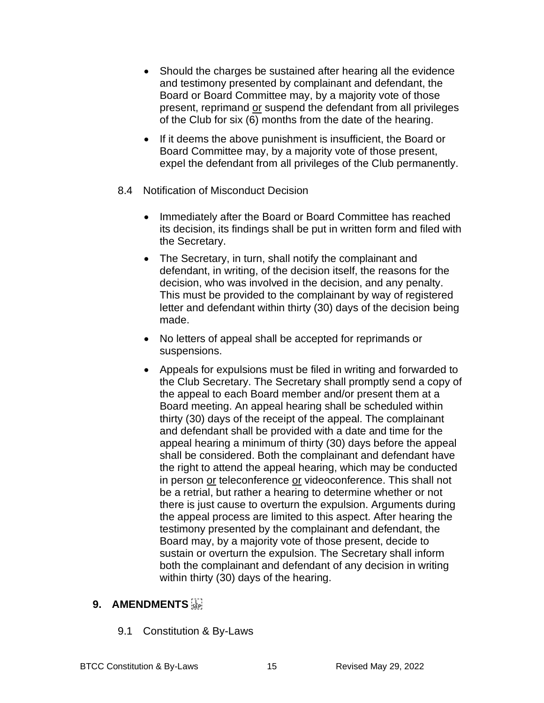- Should the charges be sustained after hearing all the evidence and testimony presented by complainant and defendant, the Board or Board Committee may, by a majority vote of those present, reprimand or suspend the defendant from all privileges of the Club for six (6) months from the date of the hearing.
- If it deems the above punishment is insufficient, the Board or Board Committee may, by a majority vote of those present, expel the defendant from all privileges of the Club permanently.
- 8.4 Notification of Misconduct Decision
	- Immediately after the Board or Board Committee has reached its decision, its findings shall be put in written form and filed with the Secretary.
	- The Secretary, in turn, shall notify the complainant and defendant, in writing, of the decision itself, the reasons for the decision, who was involved in the decision, and any penalty. This must be provided to the complainant by way of registered letter and defendant within thirty (30) days of the decision being made.
	- No letters of appeal shall be accepted for reprimands or suspensions.
	- Appeals for expulsions must be filed in writing and forwarded to the Club Secretary. The Secretary shall promptly send a copy of the appeal to each Board member and/or present them at a Board meeting. An appeal hearing shall be scheduled within thirty (30) days of the receipt of the appeal. The complainant and defendant shall be provided with a date and time for the appeal hearing a minimum of thirty (30) days before the appeal shall be considered. Both the complainant and defendant have the right to attend the appeal hearing, which may be conducted in person or teleconference or videoconference. This shall not be a retrial, but rather a hearing to determine whether or not there is just cause to overturn the expulsion. Arguments during the appeal process are limited to this aspect. After hearing the testimony presented by the complainant and defendant, the Board may, by a majority vote of those present, decide to sustain or overturn the expulsion. The Secretary shall inform both the complainant and defendant of any decision in writing within thirty (30) days of the hearing.

### **9. AMENDMENTS**

9.1 Constitution & By-Laws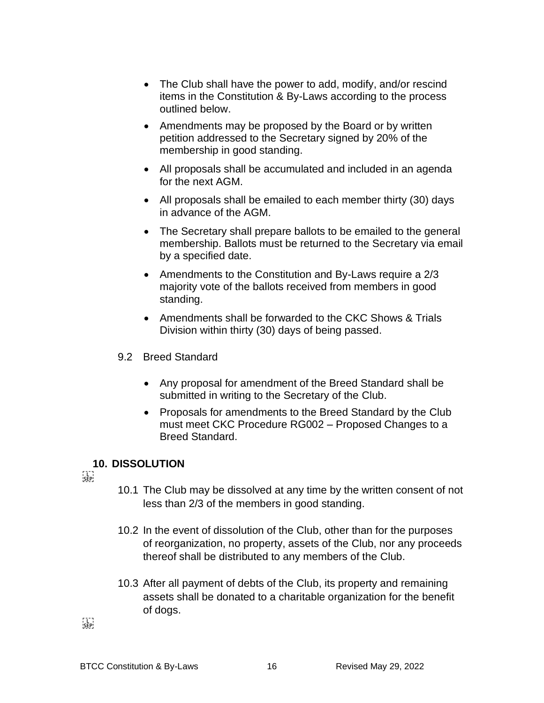- The Club shall have the power to add, modify, and/or rescind items in the Constitution & By-Laws according to the process outlined below.
- Amendments may be proposed by the Board or by written petition addressed to the Secretary signed by 20% of the membership in good standing.
- All proposals shall be accumulated and included in an agenda for the next AGM.
- All proposals shall be emailed to each member thirty (30) days in advance of the AGM.
- The Secretary shall prepare ballots to be emailed to the general membership. Ballots must be returned to the Secretary via email by a specified date.
- Amendments to the Constitution and By-Laws require a 2/3 majority vote of the ballots received from members in good standing.
- Amendments shall be forwarded to the CKC Shows & Trials Division within thirty (30) days of being passed.
- 9.2 Breed Standard
	- Any proposal for amendment of the Breed Standard shall be submitted in writing to the Secretary of the Club.
	- Proposals for amendments to the Breed Standard by the Club must meet CKC Procedure RG002 – Proposed Changes to a Breed Standard.

### **10. DISSOLUTION**

 $\sum_{i}$ 

- 10.1 The Club may be dissolved at any time by the written consent of not less than 2/3 of the members in good standing.
- 10.2 In the event of dissolution of the Club, other than for the purposes of reorganization, no property, assets of the Club, nor any proceeds thereof shall be distributed to any members of the Club.
- 10.3 After all payment of debts of the Club, its property and remaining assets shall be donated to a charitable organization for the benefit of dogs.

 $\sum_{i}$